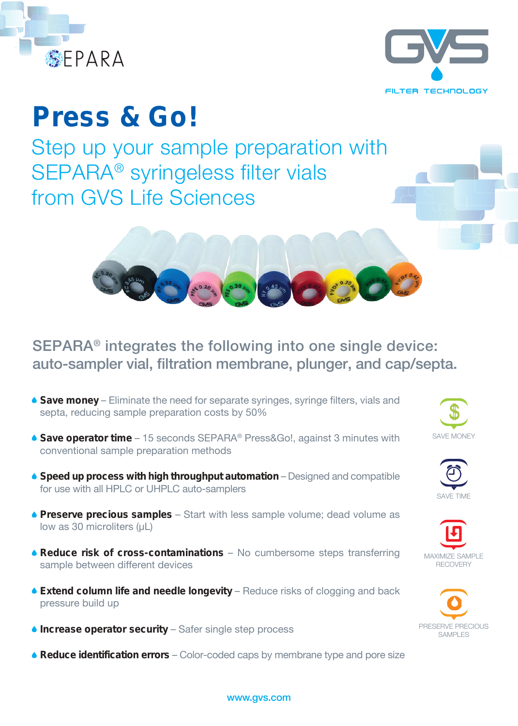



# **Press & Go!**

Step up your sample preparation with SEPARA® syringeless filter vials from GVS Life Sciences



## SEPARA® integrates the following into one single device: auto-sampler vial, filtration membrane, plunger, and cap/septa.

- **Save money** Eliminate the need for separate syringes, syringe filters, vials and septa, reducing sample preparation costs by 50%
- **Save operator time** 15 seconds SEPARA® Press&Go!, against 3 minutes with conventional sample preparation methods
- **Speed up process with high throughput automation** Designed and compatible for use with all HPLC or UHPLC auto-samplers
- **Preserve precious samples** Start with less sample volume; dead volume as low as 30 microliters (uL)
- **Reduce risk of cross-contaminations** No cumbersome steps transferring sample between different devices
- **Extend column life and needle longevity** Reduce risks of clogging and back pressure build up
- **Increase operator security** Safer single step process
- **Reduce identification errors** Color-coded caps by membrane type and pore size